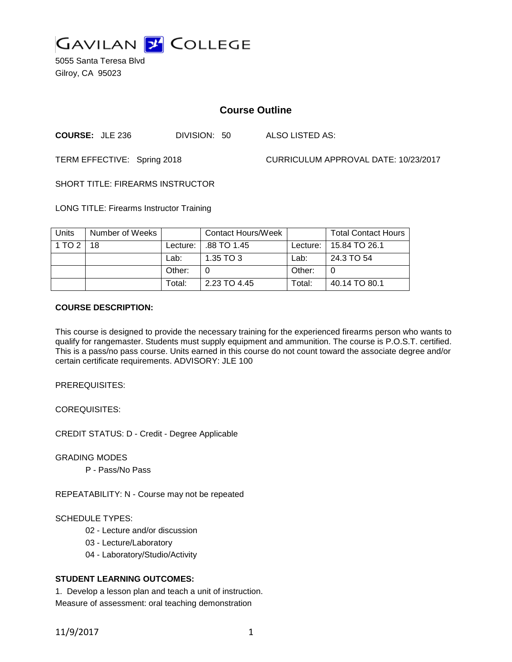

5055 Santa Teresa Blvd Gilroy, CA 95023

### **Course Outline**

**COURSE:** JLE 236 DIVISION: 50 ALSO LISTED AS:

TERM EFFECTIVE: Spring 2018 CURRICULUM APPROVAL DATE: 10/23/2017

SHORT TITLE: FIREARMS INSTRUCTOR

LONG TITLE: Firearms Instructor Training

| Units  | Number of Weeks |            | Contact Hours/Week |            | <b>Total Contact Hours</b> |
|--------|-----------------|------------|--------------------|------------|----------------------------|
| 1 TO 2 | 18              | Lecture: I | .88 TO 1.45        | Lecture: I | 15.84 TO 26.1              |
|        |                 | Lab:       | 1.35 TO 3          | Lab:       | 24.3 TO 54                 |
|        |                 | Other:     | 0                  | Other:     |                            |
|        |                 | Total:     | 2.23 TO 4.45       | Total:     | 40.14 TO 80.1              |

#### **COURSE DESCRIPTION:**

This course is designed to provide the necessary training for the experienced firearms person who wants to qualify for rangemaster. Students must supply equipment and ammunition. The course is P.O.S.T. certified. This is a pass/no pass course. Units earned in this course do not count toward the associate degree and/or certain certificate requirements. ADVISORY: JLE 100

PREREQUISITES:

COREQUISITES:

CREDIT STATUS: D - Credit - Degree Applicable

GRADING MODES

P - Pass/No Pass

REPEATABILITY: N - Course may not be repeated

#### SCHEDULE TYPES:

- 02 Lecture and/or discussion
- 03 Lecture/Laboratory
- 04 Laboratory/Studio/Activity

#### **STUDENT LEARNING OUTCOMES:**

1. Develop a lesson plan and teach a unit of instruction. Measure of assessment: oral teaching demonstration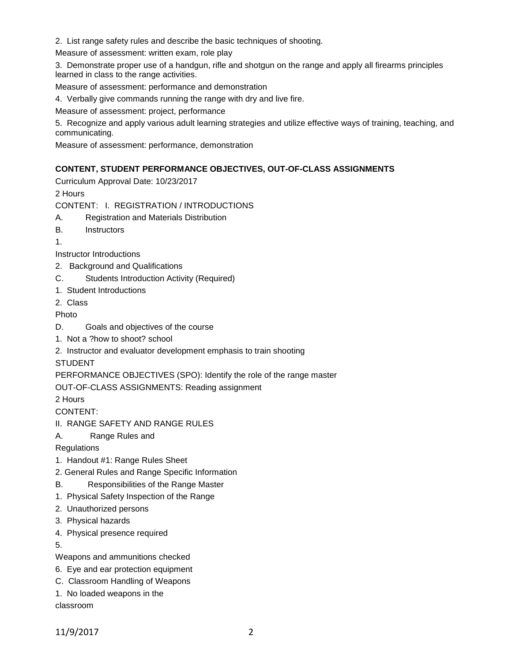2. List range safety rules and describe the basic techniques of shooting.

Measure of assessment: written exam, role play

3. Demonstrate proper use of a handgun, rifle and shotgun on the range and apply all firearms principles learned in class to the range activities.

Measure of assessment: performance and demonstration

4. Verbally give commands running the range with dry and live fire.

Measure of assessment: project, performance

5. Recognize and apply various adult learning strategies and utilize effective ways of training, teaching, and communicating.

Measure of assessment: performance, demonstration

### **CONTENT, STUDENT PERFORMANCE OBJECTIVES, OUT-OF-CLASS ASSIGNMENTS**

Curriculum Approval Date: 10/23/2017

2 Hours

CONTENT: I. REGISTRATION / INTRODUCTIONS

- A. Registration and Materials Distribution
- B. Instructors

1.

Instructor Introductions

- 2. Background and Qualifications
- C. Students Introduction Activity (Required)
- 1. Student Introductions

2. Class

Photo

- D. Goals and objectives of the course
- 1. Not a ?how to shoot? school
- 2. Instructor and evaluator development emphasis to train shooting

STUDENT

PERFORMANCE OBJECTIVES (SPO): Identify the role of the range master

OUT-OF-CLASS ASSIGNMENTS: Reading assignment

2 Hours

CONTENT:

- II. RANGE SAFETY AND RANGE RULES
- A. Range Rules and

**Regulations** 

- 1. Handout #1: Range Rules Sheet
- 2. General Rules and Range Specific Information
- B. Responsibilities of the Range Master
- 1. Physical Safety Inspection of the Range
- 2. Unauthorized persons
- 3. Physical hazards
- 4. Physical presence required

5.

Weapons and ammunitions checked

- 6. Eye and ear protection equipment
- C. Classroom Handling of Weapons
- 1. No loaded weapons in the

classroom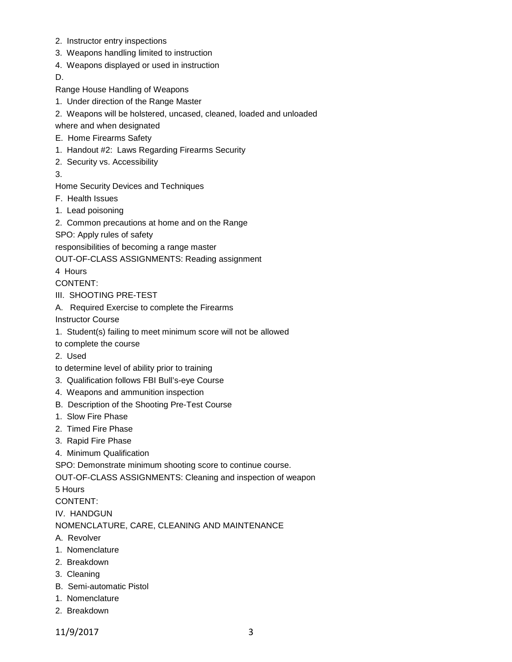- 2. Instructor entry inspections
- 3. Weapons handling limited to instruction
- 4. Weapons displayed or used in instruction

D.

- Range House Handling of Weapons
- 1. Under direction of the Range Master
- 2. Weapons will be holstered, uncased, cleaned, loaded and unloaded

where and when designated

- E. Home Firearms Safety
- 1. Handout #2: Laws Regarding Firearms Security
- 2. Security vs. Accessibility
- 3.

Home Security Devices and Techniques

- F. Health Issues
- 1. Lead poisoning
- 2. Common precautions at home and on the Range

SPO: Apply rules of safety

responsibilities of becoming a range master

OUT-OF-CLASS ASSIGNMENTS: Reading assignment

4 Hours

CONTENT:

- III. SHOOTING PRE-TEST
- A. Required Exercise to complete the Firearms

Instructor Course

- 1. Student(s) failing to meet minimum score will not be allowed
- to complete the course
- 2. Used
- to determine level of ability prior to training
- 3. Qualification follows FBI Bull's-eye Course
- 4. Weapons and ammunition inspection
- B. Description of the Shooting Pre-Test Course
- 1. Slow Fire Phase
- 2. Timed Fire Phase
- 3. Rapid Fire Phase
- 4. Minimum Qualification

SPO: Demonstrate minimum shooting score to continue course.

OUT-OF-CLASS ASSIGNMENTS: Cleaning and inspection of weapon

5 Hours

CONTENT:

IV. HANDGUN

NOMENCLATURE, CARE, CLEANING AND MAINTENANCE

- A. Revolver
- 1. Nomenclature
- 2. Breakdown
- 3. Cleaning
- B. Semi-automatic Pistol
- 1. Nomenclature
- 2. Breakdown
- 11/9/2017 3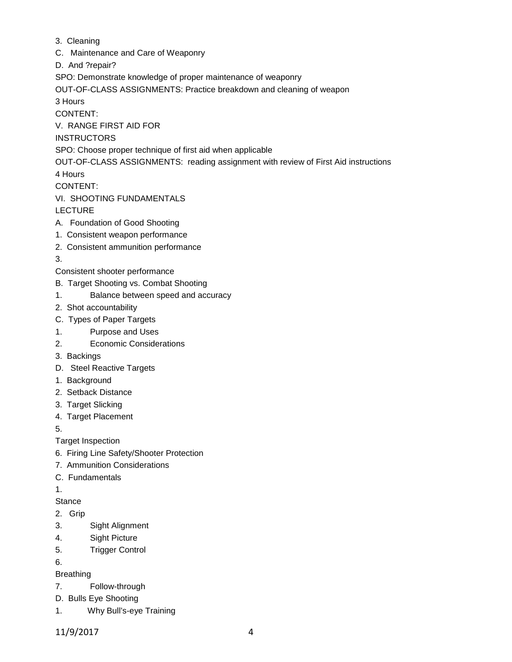- 3. Cleaning
- C. Maintenance and Care of Weaponry
- D. And ?repair?

SPO: Demonstrate knowledge of proper maintenance of weaponry

OUT-OF-CLASS ASSIGNMENTS: Practice breakdown and cleaning of weapon

3 Hours

CONTENT:

V. RANGE FIRST AID FOR

## INSTRUCTORS

SPO: Choose proper technique of first aid when applicable

OUT-OF-CLASS ASSIGNMENTS: reading assignment with review of First Aid instructions

4 Hours

CONTENT:

VI. SHOOTING FUNDAMENTALS

LECTURE

- A. Foundation of Good Shooting
- 1. Consistent weapon performance
- 2. Consistent ammunition performance
- 3.
- Consistent shooter performance
- B. Target Shooting vs. Combat Shooting
- 1. Balance between speed and accuracy
- 2. Shot accountability
- C. Types of Paper Targets
- 1. Purpose and Uses
- 2. Economic Considerations
- 3. Backings
- D. Steel Reactive Targets
- 1. Background
- 2. Setback Distance
- 3. Target Slicking
- 4. Target Placement

5.

- Target Inspection
- 6. Firing Line Safety/Shooter Protection
- 7. Ammunition Considerations
- C. Fundamentals
- 1.

# **Stance**

- 2. Grip
- 3. Sight Alignment
- 4. Sight Picture
- 5. Trigger Control
- 6.

# Breathing

- 7. Follow-through
- D. Bulls Eye Shooting
- 1. Why Bull's-eye Training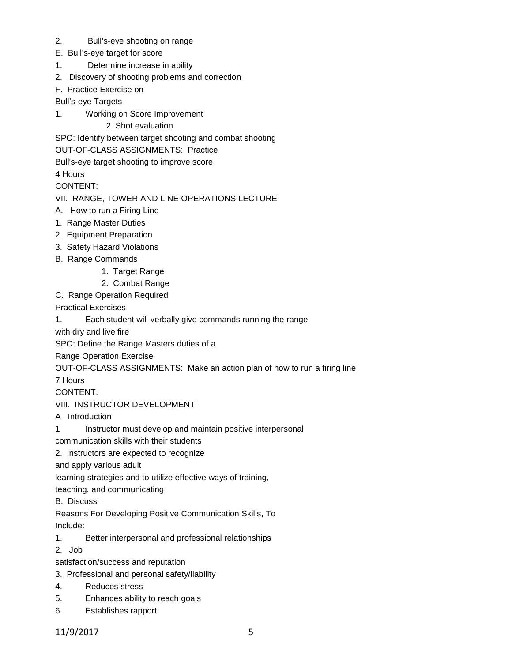- 2. Bull's-eye shooting on range
- E. Bull's-eye target for score
- 1. Determine increase in ability
- 2. Discovery of shooting problems and correction
- F. Practice Exercise on

Bull's-eye Targets

1. Working on Score Improvement

2. Shot evaluation

SPO: Identify between target shooting and combat shooting

OUT-OF-CLASS ASSIGNMENTS: Practice

Bull's-eye target shooting to improve score

4 Hours

CONTENT:

### VII. RANGE, TOWER AND LINE OPERATIONS LECTURE

- A. How to run a Firing Line
- 1. Range Master Duties
- 2. Equipment Preparation
- 3. Safety Hazard Violations
- B. Range Commands
	- 1. Target Range
	- 2. Combat Range
- C. Range Operation Required

Practical Exercises

1. Each student will verbally give commands running the range

with dry and live fire

SPO: Define the Range Masters duties of a

Range Operation Exercise

OUT-OF-CLASS ASSIGNMENTS: Make an action plan of how to run a firing line

7 Hours

CONTENT:

VIII. INSTRUCTOR DEVELOPMENT

A Introduction

1 Instructor must develop and maintain positive interpersonal

communication skills with their students

2. Instructors are expected to recognize

and apply various adult

learning strategies and to utilize effective ways of training,

teaching, and communicating

B. Discuss

Reasons For Developing Positive Communication Skills, To Include:

1. Better interpersonal and professional relationships

2. Job

satisfaction/success and reputation

- 3. Professional and personal safety/liability
- 4. Reduces stress
- 5. Enhances ability to reach goals
- 6. Establishes rapport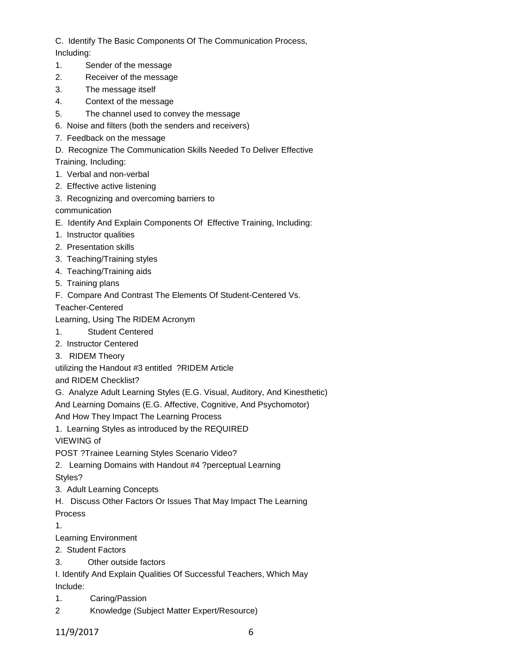C. Identify The Basic Components Of The Communication Process, Including:

- 1. Sender of the message
- 2. Receiver of the message
- 3. The message itself
- 4. Context of the message
- 5. The channel used to convey the message
- 6. Noise and filters (both the senders and receivers)
- 7. Feedback on the message
- D. Recognize The Communication Skills Needed To Deliver Effective
- Training, Including:
- 1. Verbal and non-verbal
- 2. Effective active listening
- 3. Recognizing and overcoming barriers to

communication

- E. Identify And Explain Components Of Effective Training, Including:
- 1. Instructor qualities
- 2. Presentation skills
- 3. Teaching/Training styles
- 4. Teaching/Training aids
- 5. Training plans
- F. Compare And Contrast The Elements Of Student-Centered Vs.

Teacher-Centered

Learning, Using The RIDEM Acronym

- 1. Student Centered
- 2. Instructor Centered
- 3. RIDEM Theory

utilizing the Handout #3 entitled ?RIDEM Article

and RIDEM Checklist?

G. Analyze Adult Learning Styles (E.G. Visual, Auditory, And Kinesthetic)

And Learning Domains (E.G. Affective, Cognitive, And Psychomotor)

And How They Impact The Learning Process

1. Learning Styles as introduced by the REQUIRED

VIEWING of

POST ?Trainee Learning Styles Scenario Video?

2. Learning Domains with Handout #4 ?perceptual Learning

Styles?

- 3. Adult Learning Concepts
- H. Discuss Other Factors Or Issues That May Impact The Learning

Process

1.

- Learning Environment
- 2. Student Factors
- 3. Other outside factors

I. Identify And Explain Qualities Of Successful Teachers, Which May Include:

- 1. Caring/Passion
- 2 Knowledge (Subject Matter Expert/Resource)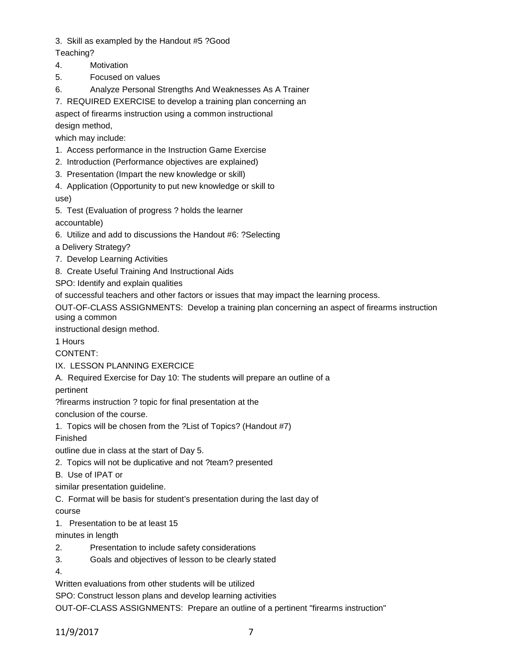3. Skill as exampled by the Handout #5 ?Good

- Teaching?
- 4. Motivation
- 5. Focused on values
- 6. Analyze Personal Strengths And Weaknesses As A Trainer

7. REQUIRED EXERCISE to develop a training plan concerning an

aspect of firearms instruction using a common instructional design method,

which may include:

- 1. Access performance in the Instruction Game Exercise
- 2. Introduction (Performance objectives are explained)
- 3. Presentation (Impart the new knowledge or skill)
- 4. Application (Opportunity to put new knowledge or skill to use)
- 5. Test (Evaluation of progress ? holds the learner accountable)
- 6. Utilize and add to discussions the Handout #6: ?Selecting
- a Delivery Strategy?
- 7. Develop Learning Activities
- 8. Create Useful Training And Instructional Aids

SPO: Identify and explain qualities

of successful teachers and other factors or issues that may impact the learning process.

OUT-OF-CLASS ASSIGNMENTS: Develop a training plan concerning an aspect of firearms instruction using a common

instructional design method.

1 Hours

CONTENT:

- IX. LESSON PLANNING EXERCICE
- A. Required Exercise for Day 10: The students will prepare an outline of a

pertinent

?firearms instruction ? topic for final presentation at the

conclusion of the course.

1. Topics will be chosen from the ?List of Topics? (Handout #7)

Finished

outline due in class at the start of Day 5.

- 2. Topics will not be duplicative and not ?team? presented
- B. Use of IPAT or

similar presentation guideline.

C. Format will be basis for student's presentation during the last day of

course

1. Presentation to be at least 15

minutes in length

- 2. Presentation to include safety considerations
- 3. Goals and objectives of lesson to be clearly stated

4.

Written evaluations from other students will be utilized

SPO: Construct lesson plans and develop learning activities

OUT-OF-CLASS ASSIGNMENTS: Prepare an outline of a pertinent "firearms instruction"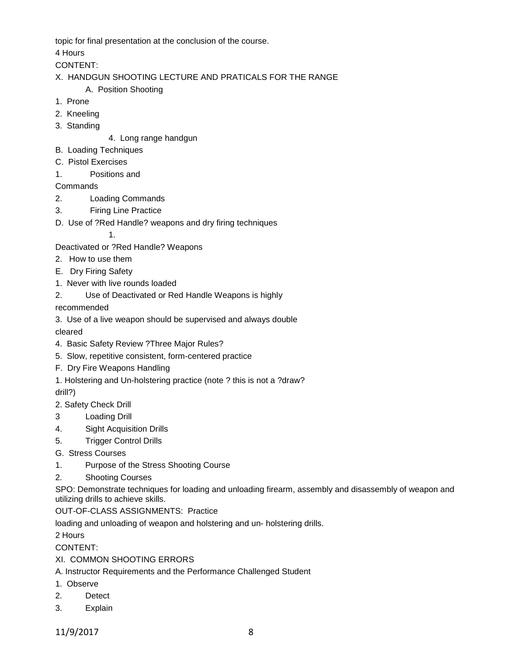topic for final presentation at the conclusion of the course.

4 Hours

CONTENT:

- X. HANDGUN SHOOTING LECTURE AND PRATICALS FOR THE RANGE
	- A. Position Shooting
- 1. Prone
- 2. Kneeling
- 3. Standing
- 4. Long range handgun
- B. Loading Techniques
- C. Pistol Exercises
- 1. Positions and

**Commands** 

- 2. Loading Commands
- 3. Firing Line Practice
- D. Use of ?Red Handle? weapons and dry firing techniques

1.

- Deactivated or ?Red Handle? Weapons
- 2. How to use them
- E. Dry Firing Safety
- 1. Never with live rounds loaded
- 2. Use of Deactivated or Red Handle Weapons is highly

recommended

3. Use of a live weapon should be supervised and always double

cleared

- 4. Basic Safety Review ?Three Major Rules?
- 5. Slow, repetitive consistent, form-centered practice
- F. Dry Fire Weapons Handling
- 1. Holstering and Un-holstering practice (note ? this is not a ?draw?

drill?)

- 2. Safety Check Drill
- 3 Loading Drill
- 4. Sight Acquisition Drills
- 5. Trigger Control Drills
- G. Stress Courses
- 1. Purpose of the Stress Shooting Course
- 2. Shooting Courses

SPO: Demonstrate techniques for loading and unloading firearm, assembly and disassembly of weapon and utilizing drills to achieve skills.

OUT-OF-CLASS ASSIGNMENTS: Practice

loading and unloading of weapon and holstering and un- holstering drills.

2 Hours

CONTENT:

XI. COMMON SHOOTING ERRORS

A. Instructor Requirements and the Performance Challenged Student

- 1. Observe
- 2. Detect
- 3. Explain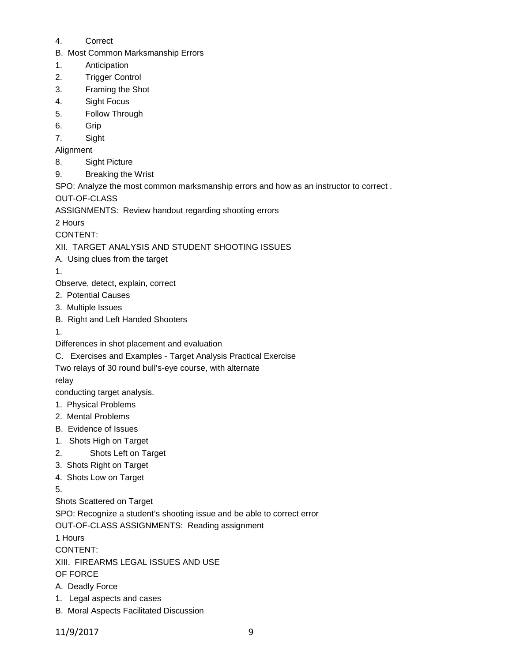- 4. Correct
- B. Most Common Marksmanship Errors
- 1. Anticipation
- 2. Trigger Control
- 3. Framing the Shot
- 4. Sight Focus
- 5. Follow Through
- 6. Grip
- 7. Sight
- Alignment
- 8. Sight Picture
- 9. Breaking the Wrist

SPO: Analyze the most common marksmanship errors and how as an instructor to correct .

OUT-OF-CLASS

ASSIGNMENTS: Review handout regarding shooting errors

2 Hours

CONTENT:

## XII. TARGET ANALYSIS AND STUDENT SHOOTING ISSUES

- A. Using clues from the target
- 1.

Observe, detect, explain, correct

- 2. Potential Causes
- 3. Multiple Issues
- B. Right and Left Handed Shooters
- 1.
- Differences in shot placement and evaluation
- C. Exercises and Examples Target Analysis Practical Exercise

# Two relays of 30 round bull's-eye course, with alternate

relay

conducting target analysis.

- 1. Physical Problems
- 2. Mental Problems
- B. Evidence of Issues
- 1. Shots High on Target
- 2. Shots Left on Target
- 3. Shots Right on Target
- 4. Shots Low on Target

5.

Shots Scattered on Target

SPO: Recognize a student's shooting issue and be able to correct error

OUT-OF-CLASS ASSIGNMENTS: Reading assignment

1 Hours

CONTENT:

XIII. FIREARMS LEGAL ISSUES AND USE

OF FORCE

- A. Deadly Force
- 1. Legal aspects and cases
- B. Moral Aspects Facilitated Discussion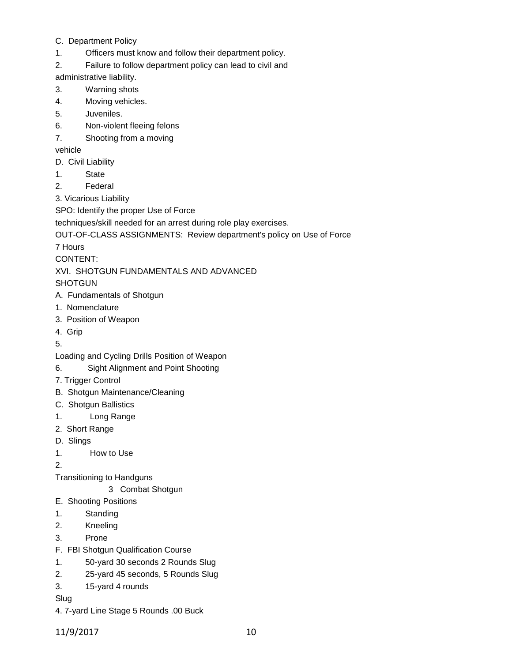- C. Department Policy
- 1. Officers must know and follow their department policy.
- 2. Failure to follow department policy can lead to civil and

administrative liability.

- 3. Warning shots
- 4. Moving vehicles.
- 5. Juveniles.
- 6. Non-violent fleeing felons
- 7. Shooting from a moving

vehicle

- D. Civil Liability
- 1. State
- 2. Federal
- 3. Vicarious Liability

SPO: Identify the proper Use of Force

techniques/skill needed for an arrest during role play exercises.

```
OUT-OF-CLASS ASSIGNMENTS: Review department's policy on Use of Force
```
7 Hours

CONTENT:

# XVI. SHOTGUN FUNDAMENTALS AND ADVANCED

**SHOTGUN** 

- A. Fundamentals of Shotgun
- 1. Nomenclature
- 3. Position of Weapon
- 4. Grip
- 5.
- Loading and Cycling Drills Position of Weapon
- 6. Sight Alignment and Point Shooting
- 7. Trigger Control
- B. Shotgun Maintenance/Cleaning
- C. Shotgun Ballistics
- 1. Long Range
- 2. Short Range
- D. Slings
- 1. How to Use

2.

- Transitioning to Handguns
	- 3 Combat Shotgun
- E. Shooting Positions
- 1. Standing
- 2. Kneeling
- 3. Prone
- F. FBI Shotgun Qualification Course
- 1. 50-yard 30 seconds 2 Rounds Slug
- 2. 25-yard 45 seconds, 5 Rounds Slug
- 3. 15-yard 4 rounds
- Slug
- 4. 7-yard Line Stage 5 Rounds .00 Buck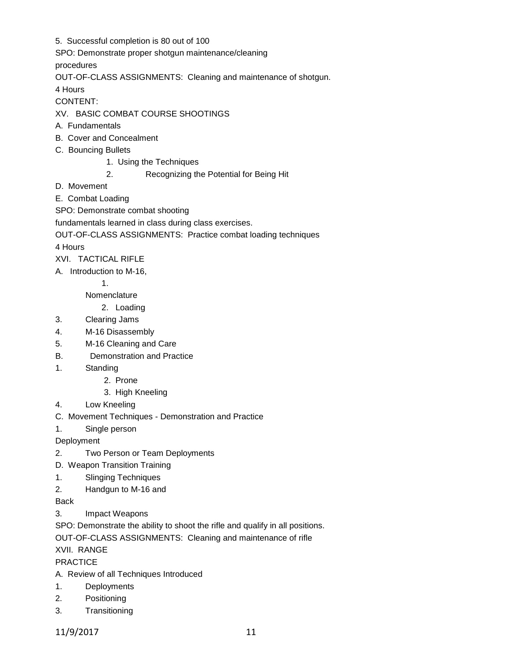5. Successful completion is 80 out of 100

SPO: Demonstrate proper shotgun maintenance/cleaning

procedures

OUT-OF-CLASS ASSIGNMENTS: Cleaning and maintenance of shotgun.

4 Hours

CONTENT:

XV. BASIC COMBAT COURSE SHOOTINGS

- A. Fundamentals
- B. Cover and Concealment
- C. Bouncing Bullets
	- 1. Using the Techniques
	- 2. Recognizing the Potential for Being Hit
- D. Movement
- E. Combat Loading
- SPO: Demonstrate combat shooting

fundamentals learned in class during class exercises.

OUT-OF-CLASS ASSIGNMENTS: Practice combat loading techniques

4 Hours

XVI. TACTICAL RIFLE

A. Introduction to M-16,

1.

Nomenclature

## 2. Loading

- 3. Clearing Jams
- 4. M-16 Disassembly
- 5. M-16 Cleaning and Care
- B. Demonstration and Practice
- 1. Standing
	- 2. Prone
	- 3. High Kneeling
- 4. Low Kneeling
- C. Movement Techniques Demonstration and Practice
- 1. Single person

Deployment

- 2. Two Person or Team Deployments
- D. Weapon Transition Training
- 1. Slinging Techniques
- 2. Handgun to M-16 and

Back

3. Impact Weapons

SPO: Demonstrate the ability to shoot the rifle and qualify in all positions.

OUT-OF-CLASS ASSIGNMENTS: Cleaning and maintenance of rifle

XVII. RANGE

PRACTICE

A. Review of all Techniques Introduced

- 1. Deployments
- 2. Positioning
- 3. Transitioning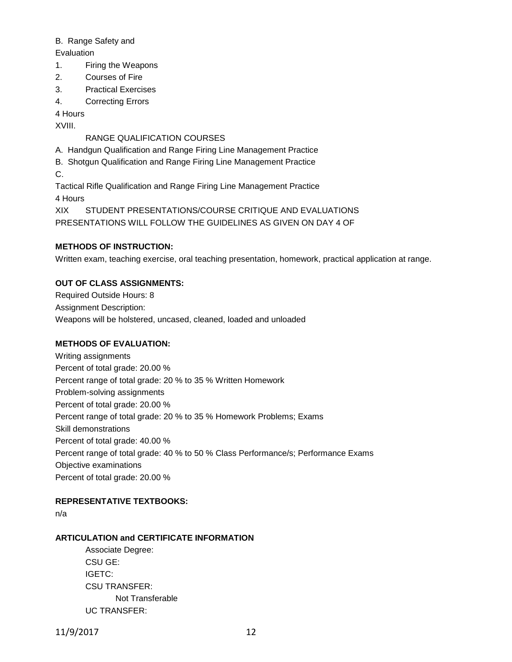#### B. Range Safety and

**Evaluation** 

- 1. Firing the Weapons
- 2. Courses of Fire
- 3. Practical Exercises
- 4. Correcting Errors

4 Hours

XVIII.

### RANGE QUALIFICATION COURSES

- A. Handgun Qualification and Range Firing Line Management Practice
- B. Shotgun Qualification and Range Firing Line Management Practice
- C.

Tactical Rifle Qualification and Range Firing Line Management Practice 4 Hours

XIX STUDENT PRESENTATIONS/COURSE CRITIQUE AND EVALUATIONS PRESENTATIONS WILL FOLLOW THE GUIDELINES AS GIVEN ON DAY 4 OF

## **METHODS OF INSTRUCTION:**

Written exam, teaching exercise, oral teaching presentation, homework, practical application at range.

### **OUT OF CLASS ASSIGNMENTS:**

Required Outside Hours: 8 Assignment Description: Weapons will be holstered, uncased, cleaned, loaded and unloaded

### **METHODS OF EVALUATION:**

Writing assignments Percent of total grade: 20.00 % Percent range of total grade: 20 % to 35 % Written Homework Problem-solving assignments Percent of total grade: 20.00 % Percent range of total grade: 20 % to 35 % Homework Problems; Exams Skill demonstrations Percent of total grade: 40.00 % Percent range of total grade: 40 % to 50 % Class Performance/s; Performance Exams Objective examinations Percent of total grade: 20.00 %

### **REPRESENTATIVE TEXTBOOKS:**

n/a

### **ARTICULATION and CERTIFICATE INFORMATION**

Associate Degree: CSU GE: IGETC: CSU TRANSFER: Not Transferable UC TRANSFER: